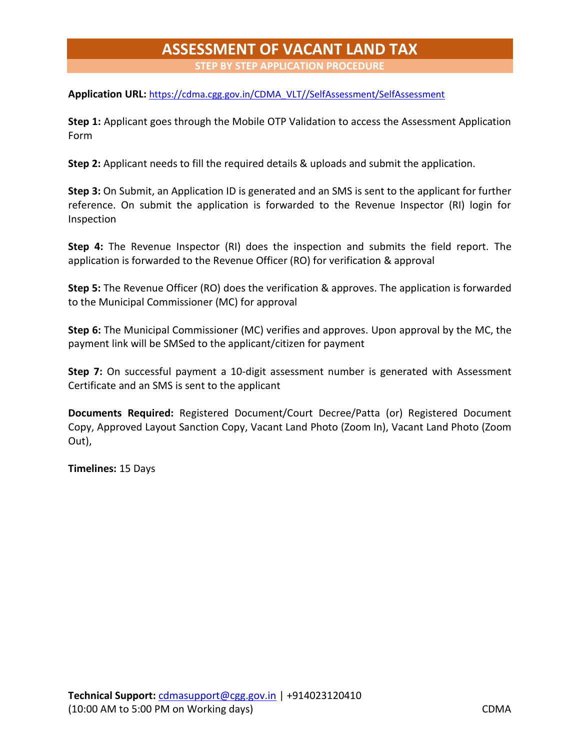## **ASSESSMENT OF VACANT LAND TAX**

**STEP BY STEP APPLICATION PROCEDURE**

**Application URL:** [https://cdma.cgg.gov.in/CDMA\\_VLT//SelfAssessment/SelfAssessment](https://cdma.cgg.gov.in/CDMA_VLT/SelfAssessment/SelfAssessment)

**Step 1:** Applicant goes through the Mobile OTP Validation to access the Assessment Application Form

**Step 2:** Applicant needs to fill the required details & uploads and submit the application.

**Step 3:** On Submit, an Application ID is generated and an SMS is sent to the applicant for further reference. On submit the application is forwarded to the Revenue Inspector (RI) login for Inspection

**Step 4:** The Revenue Inspector (RI) does the inspection and submits the field report. The application is forwarded to the Revenue Officer (RO) for verification & approval

**Step 5:** The Revenue Officer (RO) does the verification & approves. The application is forwarded to the Municipal Commissioner (MC) for approval

**Step 6:** The Municipal Commissioner (MC) verifies and approves. Upon approval by the MC, the payment link will be SMSed to the applicant/citizen for payment

**Step 7:** On successful payment a 10-digit assessment number is generated with Assessment Certificate and an SMS is sent to the applicant

**Documents Required:** Registered Document/Court Decree/Patta (or) Registered Document Copy, Approved Layout Sanction Copy, Vacant Land Photo (Zoom In), Vacant Land Photo (Zoom Out),

**Timelines:** 15 Days